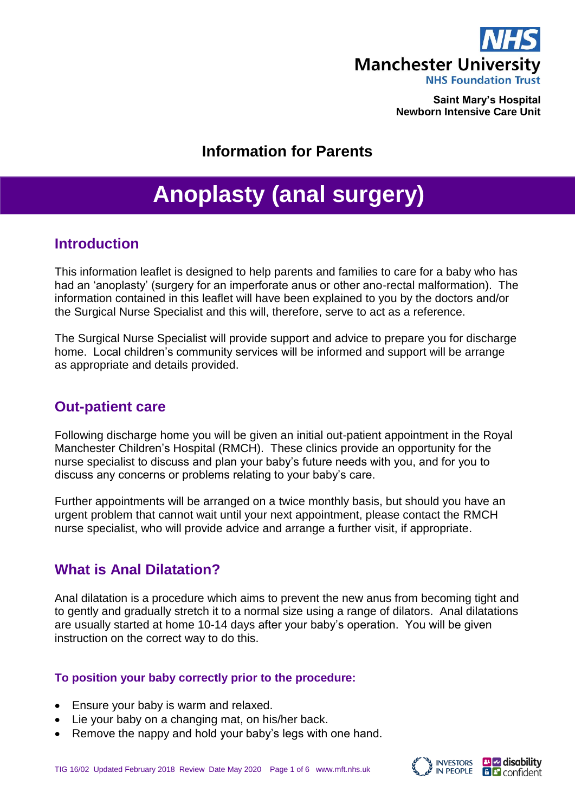

**Saint Mary's Hospital Newborn Intensive Care Unit**

# **Information for Parents**

# **Anoplasty (anal surgery)**

## **Introduction**

This information leaflet is designed to help parents and families to care for a baby who has had an 'anoplasty' (surgery for an imperforate anus or other ano-rectal malformation). The information contained in this leaflet will have been explained to you by the doctors and/or the Surgical Nurse Specialist and this will, therefore, serve to act as a reference.

The Surgical Nurse Specialist will provide support and advice to prepare you for discharge home. Local children's community services will be informed and support will be arrange as appropriate and details provided.

# **Out-patient care**

Following discharge home you will be given an initial out-patient appointment in the Royal Manchester Children's Hospital (RMCH). These clinics provide an opportunity for the nurse specialist to discuss and plan your baby's future needs with you, and for you to discuss any concerns or problems relating to your baby's care.

Further appointments will be arranged on a twice monthly basis, but should you have an urgent problem that cannot wait until your next appointment, please contact the RMCH nurse specialist, who will provide advice and arrange a further visit, if appropriate.

# **What is Anal Dilatation?**

Anal dilatation is a procedure which aims to prevent the new anus from becoming tight and to gently and gradually stretch it to a normal size using a range of dilators. Anal dilatations are usually started at home 10-14 days after your baby's operation. You will be given instruction on the correct way to do this.

## **To position your baby correctly prior to the procedure:**

- Ensure your baby is warm and relaxed.
- Lie your baby on a changing mat, on his/her back.
- Remove the nappy and hold your baby's legs with one hand.

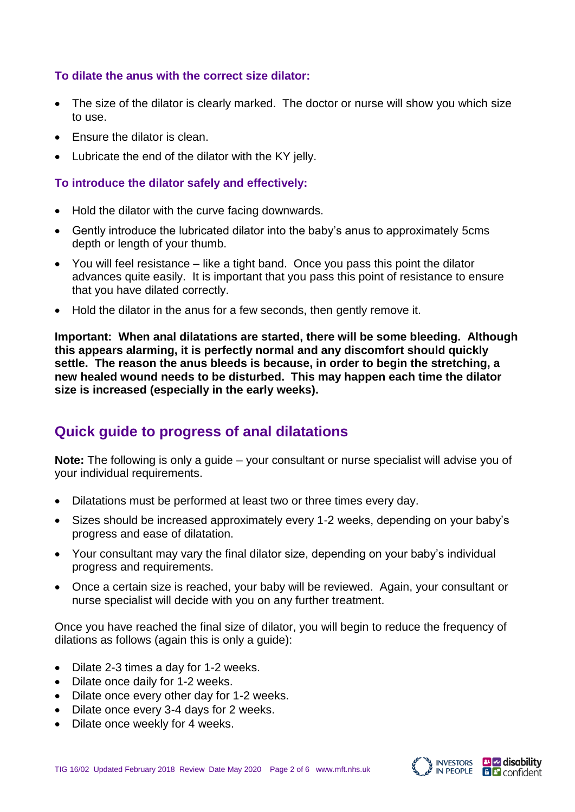## **To dilate the anus with the correct size dilator:**

- The size of the dilator is clearly marked. The doctor or nurse will show you which size to use.
- Ensure the dilator is clean.
- Lubricate the end of the dilator with the KY jelly.

## **To introduce the dilator safely and effectively:**

- Hold the dilator with the curve facing downwards.
- Gently introduce the lubricated dilator into the baby's anus to approximately 5cms depth or length of your thumb.
- You will feel resistance like a tight band. Once you pass this point the dilator advances quite easily. It is important that you pass this point of resistance to ensure that you have dilated correctly.
- Hold the dilator in the anus for a few seconds, then gently remove it.

**Important: When anal dilatations are started, there will be some bleeding. Although this appears alarming, it is perfectly normal and any discomfort should quickly settle. The reason the anus bleeds is because, in order to begin the stretching, a new healed wound needs to be disturbed. This may happen each time the dilator size is increased (especially in the early weeks).**

# **Quick guide to progress of anal dilatations**

**Note:** The following is only a guide – your consultant or nurse specialist will advise you of your individual requirements.

- Dilatations must be performed at least two or three times every day.
- Sizes should be increased approximately every 1-2 weeks, depending on your baby's progress and ease of dilatation.
- Your consultant may vary the final dilator size, depending on your baby's individual progress and requirements.
- Once a certain size is reached, your baby will be reviewed. Again, your consultant or nurse specialist will decide with you on any further treatment.

Once you have reached the final size of dilator, you will begin to reduce the frequency of dilations as follows (again this is only a guide):

- Dilate 2-3 times a day for 1-2 weeks.
- Dilate once daily for 1-2 weeks.
- Dilate once every other day for 1-2 weeks.
- Dilate once every 3-4 days for 2 weeks.
- Dilate once weekly for 4 weeks.



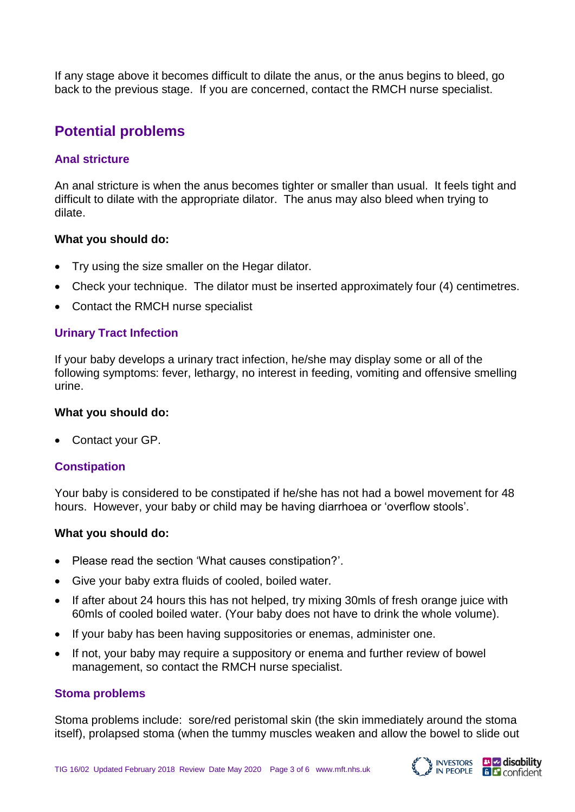If any stage above it becomes difficult to dilate the anus, or the anus begins to bleed, go back to the previous stage. If you are concerned, contact the RMCH nurse specialist.

# **Potential problems**

## **Anal stricture**

An anal stricture is when the anus becomes tighter or smaller than usual. It feels tight and difficult to dilate with the appropriate dilator. The anus may also bleed when trying to dilate.

#### **What you should do:**

- Try using the size smaller on the Hegar dilator.
- Check your technique. The dilator must be inserted approximately four (4) centimetres.
- Contact the RMCH nurse specialist

## **Urinary Tract Infection**

If your baby develops a urinary tract infection, he/she may display some or all of the following symptoms: fever, lethargy, no interest in feeding, vomiting and offensive smelling urine.

#### **What you should do:**

Contact your GP.

## **Constipation**

Your baby is considered to be constipated if he/she has not had a bowel movement for 48 hours. However, your baby or child may be having diarrhoea or 'overflow stools'.

#### **What you should do:**

- Please read the section 'What causes constipation?'.
- Give your baby extra fluids of cooled, boiled water.
- If after about 24 hours this has not helped, try mixing 30mls of fresh orange juice with 60mls of cooled boiled water. (Your baby does not have to drink the whole volume).
- If your baby has been having suppositories or enemas, administer one.
- If not, your baby may require a suppository or enema and further review of bowel management, so contact the RMCH nurse specialist.

#### **Stoma problems**

Stoma problems include: sore/red peristomal skin (the skin immediately around the stoma itself), prolapsed stoma (when the tummy muscles weaken and allow the bowel to slide out



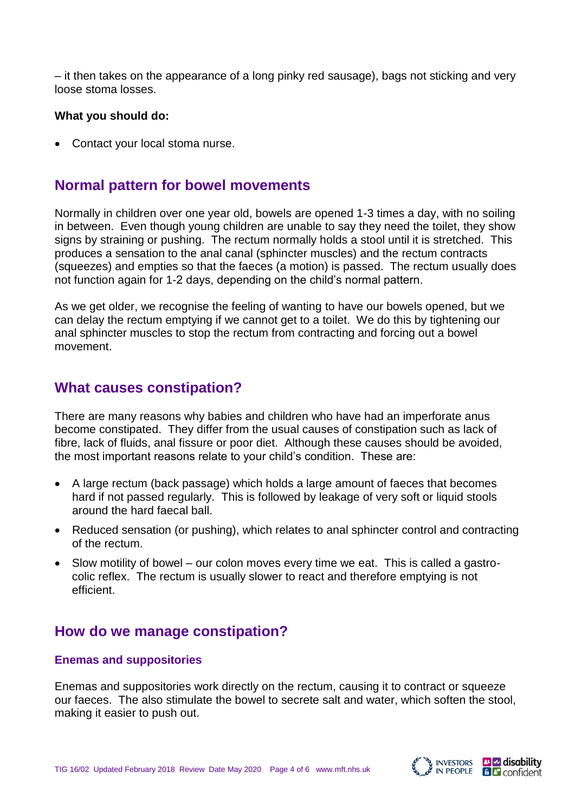– it then takes on the appearance of a long pinky red sausage), bags not sticking and very loose stoma losses.

#### **What you should do:**

• Contact your local stoma nurse.

# **Normal pattern for bowel movements**

Normally in children over one year old, bowels are opened 1-3 times a day, with no soiling in between. Even though young children are unable to say they need the toilet, they show signs by straining or pushing. The rectum normally holds a stool until it is stretched. This produces a sensation to the anal canal (sphincter muscles) and the rectum contracts (squeezes) and empties so that the faeces (a motion) is passed. The rectum usually does not function again for 1-2 days, depending on the child's normal pattern.

As we get older, we recognise the feeling of wanting to have our bowels opened, but we can delay the rectum emptying if we cannot get to a toilet. We do this by tightening our anal sphincter muscles to stop the rectum from contracting and forcing out a bowel movement.

## **What causes constipation?**

There are many reasons why babies and children who have had an imperforate anus become constipated. They differ from the usual causes of constipation such as lack of fibre, lack of fluids, anal fissure or poor diet. Although these causes should be avoided, the most important reasons relate to your child's condition. These are:

- A large rectum (back passage) which holds a large amount of faeces that becomes hard if not passed regularly. This is followed by leakage of very soft or liquid stools around the hard faecal ball.
- Reduced sensation (or pushing), which relates to anal sphincter control and contracting of the rectum.
- Slow motility of bowel our colon moves every time we eat. This is called a gastrocolic reflex. The rectum is usually slower to react and therefore emptying is not efficient.

## **How do we manage constipation?**

## **Enemas and suppositories**

Enemas and suppositories work directly on the rectum, causing it to contract or squeeze our faeces. The also stimulate the bowel to secrete salt and water, which soften the stool, making it easier to push out.

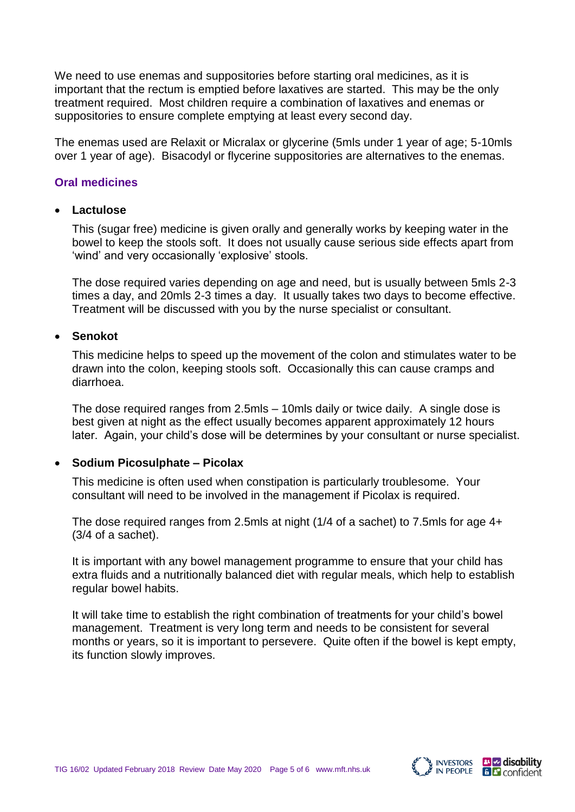We need to use enemas and suppositories before starting oral medicines, as it is important that the rectum is emptied before laxatives are started. This may be the only treatment required. Most children require a combination of laxatives and enemas or suppositories to ensure complete emptying at least every second day.

The enemas used are Relaxit or Micralax or glycerine (5mls under 1 year of age; 5-10mls over 1 year of age). Bisacodyl or flycerine suppositories are alternatives to the enemas.

### **Oral medicines**

#### **Lactulose**

This (sugar free) medicine is given orally and generally works by keeping water in the bowel to keep the stools soft. It does not usually cause serious side effects apart from 'wind' and very occasionally 'explosive' stools.

The dose required varies depending on age and need, but is usually between 5mls 2-3 times a day, and 20mls 2-3 times a day. It usually takes two days to become effective. Treatment will be discussed with you by the nurse specialist or consultant.

#### **Senokot**

This medicine helps to speed up the movement of the colon and stimulates water to be drawn into the colon, keeping stools soft. Occasionally this can cause cramps and diarrhoea.

The dose required ranges from 2.5mls – 10mls daily or twice daily. A single dose is best given at night as the effect usually becomes apparent approximately 12 hours later. Again, your child's dose will be determines by your consultant or nurse specialist.

#### **Sodium Picosulphate – Picolax**

This medicine is often used when constipation is particularly troublesome. Your consultant will need to be involved in the management if Picolax is required.

The dose required ranges from 2.5mls at night (1/4 of a sachet) to 7.5mls for age 4+ (3/4 of a sachet).

It is important with any bowel management programme to ensure that your child has extra fluids and a nutritionally balanced diet with regular meals, which help to establish regular bowel habits.

It will take time to establish the right combination of treatments for your child's bowel management. Treatment is very long term and needs to be consistent for several months or years, so it is important to persevere. Quite often if the bowel is kept empty, its function slowly improves.